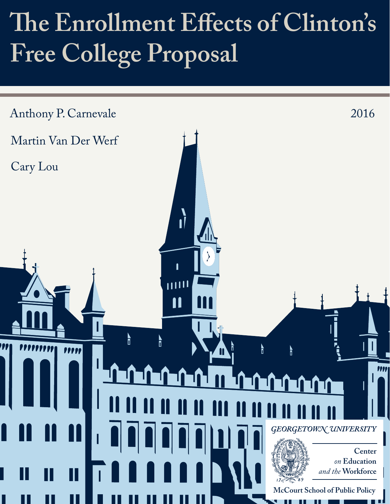# The Enrollment Effects of Clinton's **Free College Proposal**

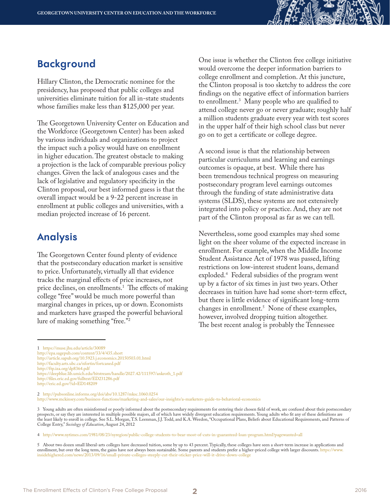#### **Background**

Hillary Clinton, the Democratic nominee for the presidency, has proposed that public colleges and universities eliminate tuition for all in-state students whose families make less than \$125,000 per year.

The Georgetown University Center on Education and the Workforce (Georgetown Center) has been asked by various individuals and organizations to project the impact such a policy would have on enrollment in higher education. The greatest obstacle to making a projection is the lack of comparable previous policy changes. Given the lack of analogous cases and the lack of legislative and regulatory specificity in the Clinton proposal, our best informed guess is that the overall impact would be a 9-22 percent increase in enrollment at public colleges and universities, with a median projected increase of 16 percent.

#### **Analysis**

The Georgetown Center found plenty of evidence that the postsecondary education market is sensitive to price. Unfortunately, virtually all that evidence tracks the marginal effects of price increases, not price declines, on enrollments.1 The effects of making college "free" would be much more powerful than marginal changes in prices, up or down. Economists and marketers have grasped the powerful behavioral lure of making something "free."2

One issue is whether the Clinton free college initiative would overcome the deeper information barriers to college enrollment and completion. At this juncture, the Clinton proposal is too sketchy to address the core findings on the negative effect of information barriers to enrollment.3 Many people who are qualified to attend college never go or never graduate; roughly half a million students graduate every year with test scores in the upper half of their high school class but never go on to get a certificate or college degree.

A second issue is that the relationship between particular curriculums and learning and earnings outcomes is opaque, at best. While there has been tremendous technical progress on measuring postsecondary program level earnings outcomes through the funding of state administrative data systems (SLDS), these systems are not extensively integrated into policy or practice. And, they are not part of the Clinton proposal as far as we can tell.

Nevertheless, some good examples may shed some light on the sheer volume of the expected increase in enrollment. For example, when the Middle Income Student Assistance Act of 1978 was passed, lifting restrictions on low-interest student loans, demand exploded.4 Federal subsidies of the program went up by a factor of six times in just two years. Other decreases in tuition have had some short-term effect, but there is little evidence of significant long-term changes in enrollment.5 None of these examples, however, involved dropping tuition altogether. The best recent analog is probably the Tennessee

2 <http://pubsonline.informs.org/doi/abs/10.1287/mksc.1060.0254> [http://www.mckinsey.com/business-functions/marketing-and-sales/our-insights/a-marketers-guide-to-behavioral-economics](http://www.mckinsey.com/business-functions/marketing-and-sales/our-insights/a-marketers-guide-to-behavioral-economics )

<sup>1</sup> <https://muse.jhu.edu/article/30089> <http://epa.sagepub.com/content/33/4/435.short> <http://article.sapub.org/10.5923.j.economics.20150503.01.html> <http://faculty.arts.ubc.ca/nfortin/fortcaned.pdf> <http://ftp.iza.org/dp8364.pdf> [https://deepblue.lib.umich.edu/bitstream/handle/2027.42/111597/ankroth\\_1.pdf](https://deepblue.lib.umich.edu/bitstream/handle/2027.42/111597/ankroth_1.pdf) [http://files.eric.ed.gov/fulltext/ED231286.pdf](http://files.eric.ed.gov/fulltext/ED231286.pdf   )  <http://eric.ed.gov/?id=ED148209>

<sup>3</sup> Young adults are often misinformed or poorly informed about the postsecondary requirements for entering their chosen field of work, are confused about their postsecondary prospects, or say they are interested in multiple possible majors, all of which have widely divergent education requirements. Young adults who fit any of these definitions are the least likely to enroll in college. See S.L. Morgan, T.S. Leenman, J.J. Todd, and K.A. Weedon, "Occupational Plans, Beliefs about Educational Requirements, and Patterns of College Entry," *Sociology of Education*, August 24, 2012

<sup>4</sup> <http://www.nytimes.com/1981/08/23/nyregion/public-college-students-to-bear-most-of-cuts-in-guaranteed-loan-program.html?pagewanted=all>

<sup>5</sup> About two dozen small liberal-arts colleges have decreased tuition, some by up to 43 percent. Typically, these colleges have seen a short-term increase in applications and enrollment, but over the long term, the gains have not always been sustainable. Some parents and students prefer a higher-priced college with larger discounts. [https://www.](https://www.insidehighered.com/news/2013/09/16/small-private-colleges-steeply-cut-their-sticker-price-will-it-drive-down-college) [insidehighered.com/news/2013/09/16/small-private-colleges-steeply-cut-their-sticker-price-will-it-drive-down-college](https://www.insidehighered.com/news/2013/09/16/small-private-colleges-steeply-cut-their-sticker-price-will-it-drive-down-college)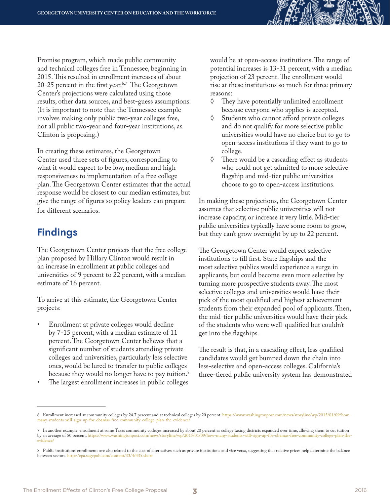Promise program, which made public community and technical colleges free in Tennessee, beginning in 2015. This resulted in enrollment increases of about 20-25 percent in the first year. $6,7$  The Georgetown Center's projections were calculated using those results, other data sources, and best-guess assumptions. (It is important to note that the Tennessee example involves making only public two-year colleges free, not all public two-year and four-year institutions, as Clinton is proposing.)

In creating these estimates, the Georgetown Center used three sets of figures, corresponding to what it would expect to be low, medium and high responsiveness to implementation of a free college plan. The Georgetown Center estimates that the actual response would be closest to our median estimates, but give the range of figures so policy leaders can prepare for different scenarios.

### **Findings**

The Georgetown Center projects that the free college plan proposed by Hillary Clinton would result in an increase in enrollment at public colleges and universities of 9 percent to 22 percent, with a median estimate of 16 percent.

To arrive at this estimate, the Georgetown Center projects:

- Enrollment at private colleges would decline by 7-15 percent, with a median estimate of 11 percent. The Georgetown Center believes that a significant number of students attending private colleges and universities, particularly less selective ones, would be lured to transfer to public colleges because they would no longer have to pay tuition.<sup>8</sup>
- The largest enrollment increases in public colleges

would be at open-access institutions. The range of potential increases is 13-31 percent, with a median projection of 23 percent. The enrollment would rise at these institutions so much for three primary reasons:

- ◊ They have potentially unlimited enrollment because everyone who applies is accepted.
- ◊ Students who cannot afford private colleges and do not qualify for more selective public universities would have no choice but to go to open-access institutions if they want to go to college.
- ◊ There would be a cascading effect as students who could not get admitted to more selective flagship and mid-tier public universities choose to go to open-access institutions.

In making these projections, the Georgetown Center assumes that selective public universities will not increase capacity, or increase it very little. Mid-tier public universities typically have some room to grow, but they can't grow overnight by up to 22 percent.

The Georgetown Center would expect selective institutions to fill first. State flagships and the most selective publics would experience a surge in applicants, but could become even more selective by turning more prospective students away. The most selective colleges and universities would have their pick of the most qualified and highest achievement students from their expanded pool of applicants. Then, the mid-tier public universities would have their pick of the students who were well-qualified but couldn't get into the flagships.

The result is that, in a cascading effect, less qualified candidates would get bumped down the chain into less-selective and open-access colleges. California's three-tiered public university system has demonstrated

<sup>6</sup> Enrollment increased at community colleges by 24.7 percent and at technical colleges by 20 percent. [https://www.washingtonpost.com/news/storyline/wp/2015/01/09/how](https://www.washingtonpost.com/news/storyline/wp/2015/01/09/how-many-students-will-sign-up-for-obamas-free-community-college-plan-the-evidence/)[many-students-will-sign-up-for-obamas-free-community-college-plan-the-evidence/](https://www.washingtonpost.com/news/storyline/wp/2015/01/09/how-many-students-will-sign-up-for-obamas-free-community-college-plan-the-evidence/)

<sup>7</sup> In another example, enrollment at some Texas community colleges increased by about 20 percent as college taxing districts expanded over time, allowing them to cut tuition by an average of 50 percent. [https://www.washingtonpost.com/news/storyline/wp/2015/01/09/how-many-students-will-sign-up-for-obamas-free-community-college-plan-the](https://www.washingtonpost.com/news/storyline/wp/2015/01/09/how-many-students-will-sign-up-for-obamas-free-community-college-plan-the-evidence/)[evidence/](https://www.washingtonpost.com/news/storyline/wp/2015/01/09/how-many-students-will-sign-up-for-obamas-free-community-college-plan-the-evidence/)

<sup>8</sup> Public institutions' enrollments are also related to the cost of alternatives such as private institutions and vice versa, suggesting that relative prices help determine the balance between sectors. <http://epa.sagepub.com/content/33/4/435.short>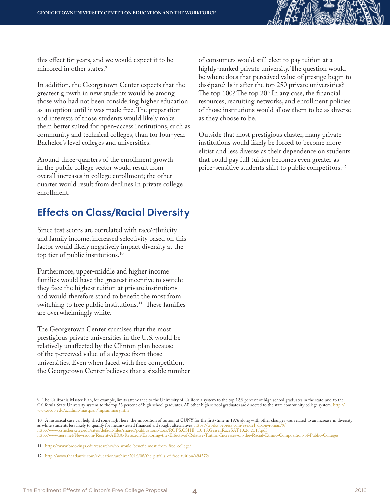this effect for years, and we would expect it to be mirrored in other states.<sup>9</sup>

In addition, the Georgetown Center expects that the greatest growth in new students would be among those who had not been considering higher education as an option until it was made free. The preparation and interests of those students would likely make them better suited for open-access institutions, such as community and technical colleges, than for four-year Bachelor's level colleges and universities.

Around three-quarters of the enrollment growth in the public college sector would result from overall increases in college enrollment; the other quarter would result from declines in private college enrollment.

### **Ef fects on Class/Racial Diversit y**

Since test scores are correlated with race/ethnicity and family income, increased selectivity based on this factor would likely negatively impact diversity at the top tier of public institutions.10

Furthermore, upper-middle and higher income families would have the greatest incentive to switch: they face the highest tuition at private institutions and would therefore stand to benefit the most from switching to free public institutions.<sup>11</sup> These families are overwhelmingly white.

The Georgetown Center surmises that the most prestigious private universities in the U.S. would be relatively unaffected by the Clinton plan because of the perceived value of a degree from those universities. Even when faced with free competition, the Georgetown Center believes that a sizable number of consumers would still elect to pay tuition at a highly-ranked private university. The question would be where does that perceived value of prestige begin to dissipate? Is it after the top 250 private universities? The top 100? The top 20? In any case, the financial resources, recruiting networks, and enrollment policies of those institutions would allow them to be as diverse as they choose to be.

Outside that most prestigious cluster, many private institutions would likely be forced to become more elitist and less diverse as their dependence on students that could pay full tuition becomes even greater as price-sensitive students shift to public competitors.<sup>12</sup>

<http://www.aera.net/Newsroom/Recent-AERA-Research/Exploring-the-Effects-of-Relative-Tuition-Increases-on-the-Racial-Ethnic-Composition-of-Public-Colleges>

<sup>9</sup> The California Master Plan, for example, limits attendance to the University of California system to the top 12.5 percent of high school graduates in the state, and to the California State University system to the top 33 percent of high school graduates. All other high school graduates are directed to the state community college system. [http://](http://www.ucop.edu/acadinit/mastplan/mpsummary.htm) [www.ucop.edu/acadinit/mastplan/mpsummary.htm](http://www.ucop.edu/acadinit/mastplan/mpsummary.htm)

<sup>10</sup> A historical case can help shed some light here: the imposition of tuition at CUNY for the first-time in 1976 along with other changes was related to an increase in diversity as white students less likely to qualify for means-tested financial aid sought alternatives. [https://works.bepress.com/ezekiel\\_dixon-roman/9/](https://works.bepress.com/ezekiel_dixon-roman/9/) [http://www.cshe.berkeley.edu/sites/default/files/shared/publications/docs/ROPS.CSHE\\_.10.15.Geiser.RaceSAT.10.26.2015.pdf](http://www.cshe.berkeley.edu/sites/default/files/shared/publications/docs/ROPS.CSHE_.10.15.Geiser.RaceSAT.10.26.2015.pdf  ) 

<sup>11</sup> <https://www.brookings.edu/research/who-would-benefit-most-from-free-college/>

<sup>12</sup> <http://www.theatlantic.com/education/archive/2016/08/the-pitfalls-of-free-tuition/494372/>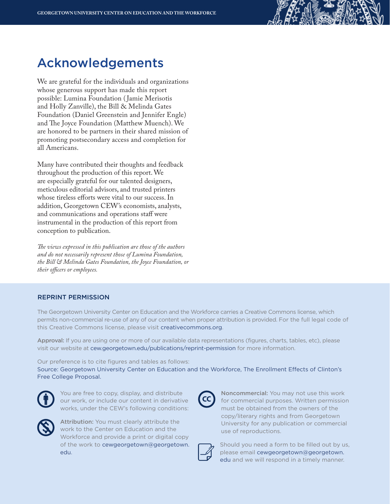## Acknowledgements

We are grateful for the individuals and organizations whose generous support has made this report possible: Lumina Foundation ( Jamie Merisotis and Holly Zanville), the Bill & Melinda Gates Foundation (Daniel Greenstein and Jennifer Engle) and The Joyce Foundation (Matthew Muench). We are honored to be partners in their shared mission of promoting postsecondary access and completion for all Americans.

Many have contributed their thoughts and feedback throughout the production of this report. We are especially grateful for our talented designers, meticulous editorial advisors, and trusted printers whose tireless efforts were vital to our success. In addition, Georgetown CEW's economists, analysts, and communications and operations staff were instrumental in the production of this report from conception to publication.

*The views expressed in this publication are those of the authors and do not necessarily represent those of Lumina Foundation, the Bill & Melinda Gates Foundation, the Joyce Foundation, or their officers or employees.* 

#### REPRINT PERMISSION

The Georgetown University Center on Education and the Workforce carries a Creative Commons license, which permits non-commercial re-use of any of our content when proper attribution is provided. For the full legal code of this Creative Commons license, please visit creativecommons.org.

Approval: If you are using one or more of our available data representations (figures, charts, tables, etc), please visit our website at cew.georgetown.edu/publications/reprint-permission for more information.

Our preference is to cite figures and tables as follows:

Source: Georgetown University Center on Education and the Workforce, The Enrollment Effects of Clinton's Free College Proposal.



You are free to copy, display, and distribute our work, or include our content in derivative works, under the CEW's following conditions:



Attribution: You must clearly attribute the work to the Center on Education and the Workforce and provide a print or digital copy of the work to cewgeorgetown@georgetown. edu.



Noncommercial: You may not use this work for commercial purposes. Written permission must be obtained from the owners of the copy/literary rights and from Georgetown University for any publication or commercial use of reproductions.



Should you need a form to be filled out by us, please email cewgeorgetown@georgetown. edu and we will respond in a timely manner.